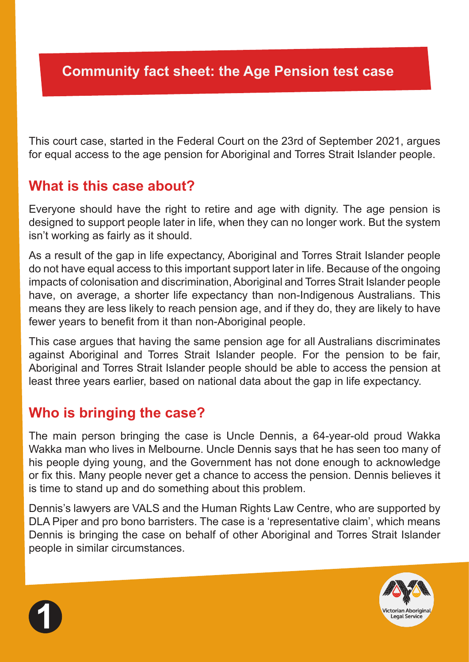This court case, started in the Federal Court on the 23rd of September 2021, argues for equal access to the age pension for Aboriginal and Torres Strait Islander people.

### **What is this case about?**

Everyone should have the right to retire and age with dignity. The age pension is designed to support people later in life, when they can no longer work. But the system isn't working as fairly as it should.

As a result of the gap in life expectancy, Aboriginal and Torres Strait Islander people do not have equal access to this important support later in life. Because of the ongoing impacts of colonisation and discrimination, Aboriginal and Torres Strait Islander people have, on average, a shorter life expectancy than non-Indigenous Australians. This means they are less likely to reach pension age, and if they do, they are likely to have fewer years to benefit from it than non-Aboriginal people.

This case argues that having the same pension age for all Australians discriminates against Aboriginal and Torres Strait Islander people. For the pension to be fair, Aboriginal and Torres Strait Islander people should be able to access the pension at least three years earlier, based on national data about the gap in life expectancy.

## **Who is bringing the case?**

The main person bringing the case is Uncle Dennis, a 64-year-old proud Wakka Wakka man who lives in Melbourne. Uncle Dennis says that he has seen too many of his people dying young, and the Government has not done enough to acknowledge or fix this. Many people never get a chance to access the pension. Dennis believes it is time to stand up and do something about this problem.

Dennis's lawyers are VALS and the Human Rights Law Centre, who are supported by DLA Piper and pro bono barristers. The case is a 'representative claim', which means Dennis is bringing the case on behalf of other Aboriginal and Torres Strait Islander people in similar circumstances.



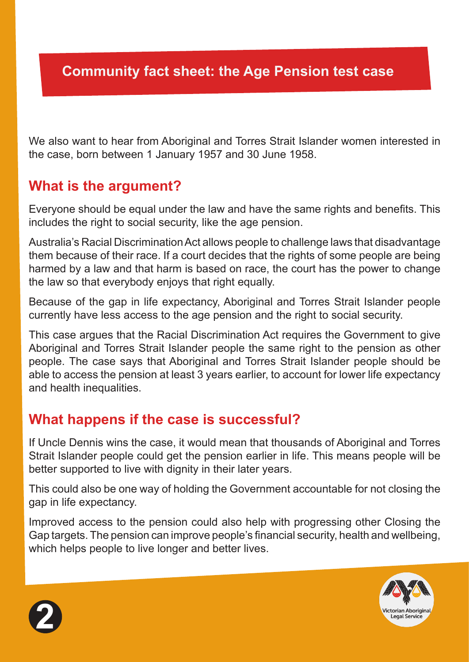We also want to hear from Aboriginal and Torres Strait Islander women interested in the case, born between 1 January 1957 and 30 June 1958.

### **What is the argument?**

Everyone should be equal under the law and have the same rights and benefits. This includes the right to social security, like the age pension.

Australia's Racial Discrimination Act allows people to challenge laws that disadvantage them because of their race. If a court decides that the rights of some people are being harmed by a law and that harm is based on race, the court has the power to change the law so that everybody enjoys that right equally.

Because of the gap in life expectancy, Aboriginal and Torres Strait Islander people currently have less access to the age pension and the right to social security.

This case argues that the Racial Discrimination Act requires the Government to give Aboriginal and Torres Strait Islander people the same right to the pension as other people. The case says that Aboriginal and Torres Strait Islander people should be able to access the pension at least 3 years earlier, to account for lower life expectancy and health inequalities.

#### **What happens if the case is successful?**

If Uncle Dennis wins the case, it would mean that thousands of Aboriginal and Torres Strait Islander people could get the pension earlier in life. This means people will be better supported to live with dignity in their later years.

This could also be one way of holding the Government accountable for not closing the gap in life expectancy.

Improved access to the pension could also help with progressing other Closing the Gap targets. The pension can improve people's financial security, health and wellbeing, which helps people to live longer and better lives.



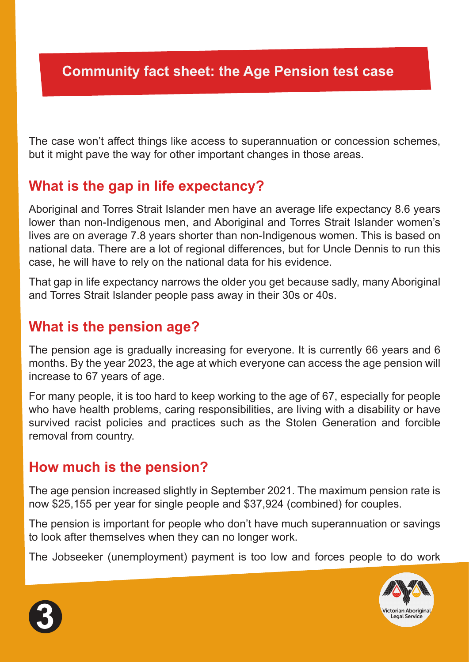The case won't affect things like access to superannuation or concession schemes, but it might pave the way for other important changes in those areas.

## **What is the gap in life expectancy?**

Aboriginal and Torres Strait Islander men have an average life expectancy 8.6 years lower than non-Indigenous men, and Aboriginal and Torres Strait Islander women's lives are on average 7.8 years shorter than non-Indigenous women. This is based on national data. There are a lot of regional differences, but for Uncle Dennis to run this case, he will have to rely on the national data for his evidence.

That gap in life expectancy narrows the older you get because sadly, many Aboriginal and Torres Strait Islander people pass away in their 30s or 40s.

### **What is the pension age?**

The pension age is gradually increasing for everyone. It is currently 66 years and 6 months. By the year 2023, the age at which everyone can access the age pension will increase to 67 years of age.

For many people, it is too hard to keep working to the age of 67, especially for people who have health problems, caring responsibilities, are living with a disability or have survived racist policies and practices such as the Stolen Generation and forcible removal from country.

### **How much is the pension?**

The age pension increased slightly in September 2021. The maximum pension rate is now \$25,155 per year for single people and \$37,924 (combined) for couples.

The pension is important for people who don't have much superannuation or savings to look after themselves when they can no longer work.

The Jobseeker (unemployment) payment is too low and forces people to do work



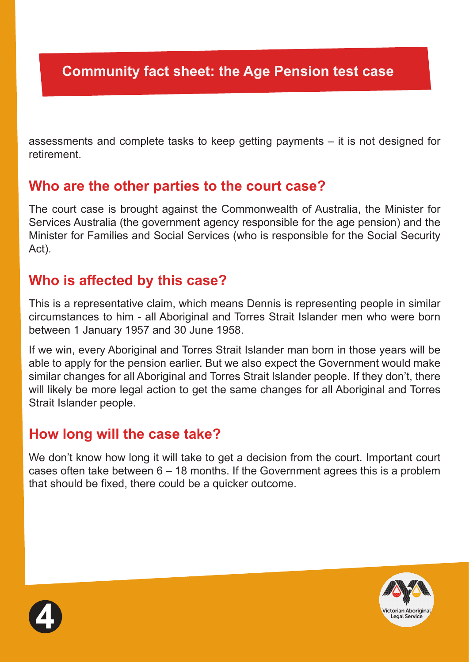assessments and complete tasks to keep getting payments – it is not designed for retirement.

#### **Who are the other parties to the court case?**

The court case is brought against the Commonwealth of Australia, the Minister for Services Australia (the government agency responsible for the age pension) and the Minister for Families and Social Services (who is responsible for the Social Security Act).

## **Who is affected by this case?**

This is a representative claim, which means Dennis is representing people in similar circumstances to him - all Aboriginal and Torres Strait Islander men who were born between 1 January 1957 and 30 June 1958.

If we win, every Aboriginal and Torres Strait Islander man born in those years will be able to apply for the pension earlier. But we also expect the Government would make similar changes for all Aboriginal and Torres Strait Islander people. If they don't, there will likely be more legal action to get the same changes for all Aboriginal and Torres Strait Islander people.

## **How long will the case take?**

We don't know how long it will take to get a decision from the court. Important court cases often take between 6 – 18 months. If the Government agrees this is a problem that should be fixed, there could be a quicker outcome.